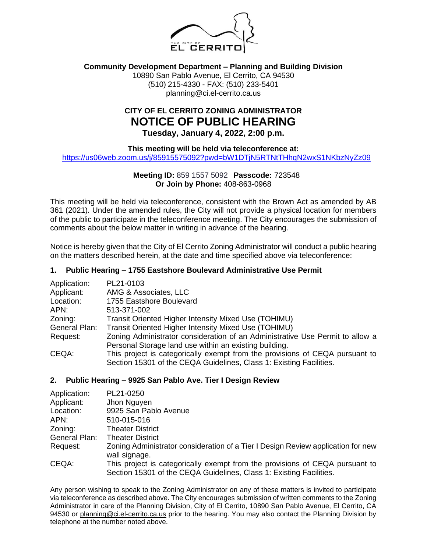

# **Community Development Department – Planning and Building Division**

10890 San Pablo Avenue, El Cerrito, CA 94530 (510) 215-4330 - FAX: (510) 233-5401 planning@ci.el-cerrito.ca.us

# **CITY OF EL CERRITO ZONING ADMINISTRATOR NOTICE OF PUBLIC HEARING**

**Tuesday, January 4, 2022, 2:00 p.m.**

**This meeting will be held via teleconference at:**

<https://us06web.zoom.us/j/85915575092?pwd=bW1DTjN5RTNtTHhqN2wxS1NKbzNyZz09>

# **Meeting ID:** 859 1557 5092 **Passcode:** 723548 **Or Join by Phone:** 408-863-0968

This meeting will be held via teleconference, consistent with the Brown Act as amended by AB 361 (2021). Under the amended rules, the City will not provide a physical location for members of the public to participate in the teleconference meeting. The City encourages the submission of comments about the below matter in writing in advance of the hearing.

Notice is hereby given that the City of El Cerrito Zoning Administrator will conduct a public hearing on the matters described herein, at the date and time specified above via teleconference:

### **1. Public Hearing – 1755 Eastshore Boulevard Administrative Use Permit**

| Application:  | PL21-0103                                                                     |
|---------------|-------------------------------------------------------------------------------|
| Applicant:    | AMG & Associates, LLC                                                         |
| Location:     | 1755 Eastshore Boulevard                                                      |
| APN:          | 513-371-002                                                                   |
| Zoning:       | Transit Oriented Higher Intensity Mixed Use (TOHIMU)                          |
| General Plan: | Transit Oriented Higher Intensity Mixed Use (TOHIMU)                          |
| Request:      | Zoning Administrator consideration of an Administrative Use Permit to allow a |
|               | Personal Storage land use within an existing building.                        |
| CEQA:         | This project is categorically exempt from the provisions of CEQA pursuant to  |
|               | Section 15301 of the CEQA Guidelines, Class 1: Existing Facilities.           |

### **2. Public Hearing – 9925 San Pablo Ave. Tier I Design Review**

| Application:  | PL21-0250                                                                                         |
|---------------|---------------------------------------------------------------------------------------------------|
| Applicant:    | Jhon Nguyen                                                                                       |
| Location:     | 9925 San Pablo Avenue                                                                             |
| APN:          | 510-015-016                                                                                       |
| Zoning:       | <b>Theater District</b>                                                                           |
| General Plan: | <b>Theater District</b>                                                                           |
| Request:      | Zoning Administrator consideration of a Tier I Design Review application for new<br>wall signage. |
| CEQA:         | This project is categorically exempt from the provisions of CEQA pursuant to                      |
|               | Section 15301 of the CEQA Guidelines, Class 1: Existing Facilities.                               |

Any person wishing to speak to the Zoning Administrator on any of these matters is invited to participate via teleconference as described above. The City encourages submission of written comments to the Zoning Administrator in care of the Planning Division, City of El Cerrito, 10890 San Pablo Avenue, El Cerrito, CA 94530 or planning@ci.el-cerrito.ca.us prior to the hearing. You may also contact the Planning Division by telephone at the number noted above.